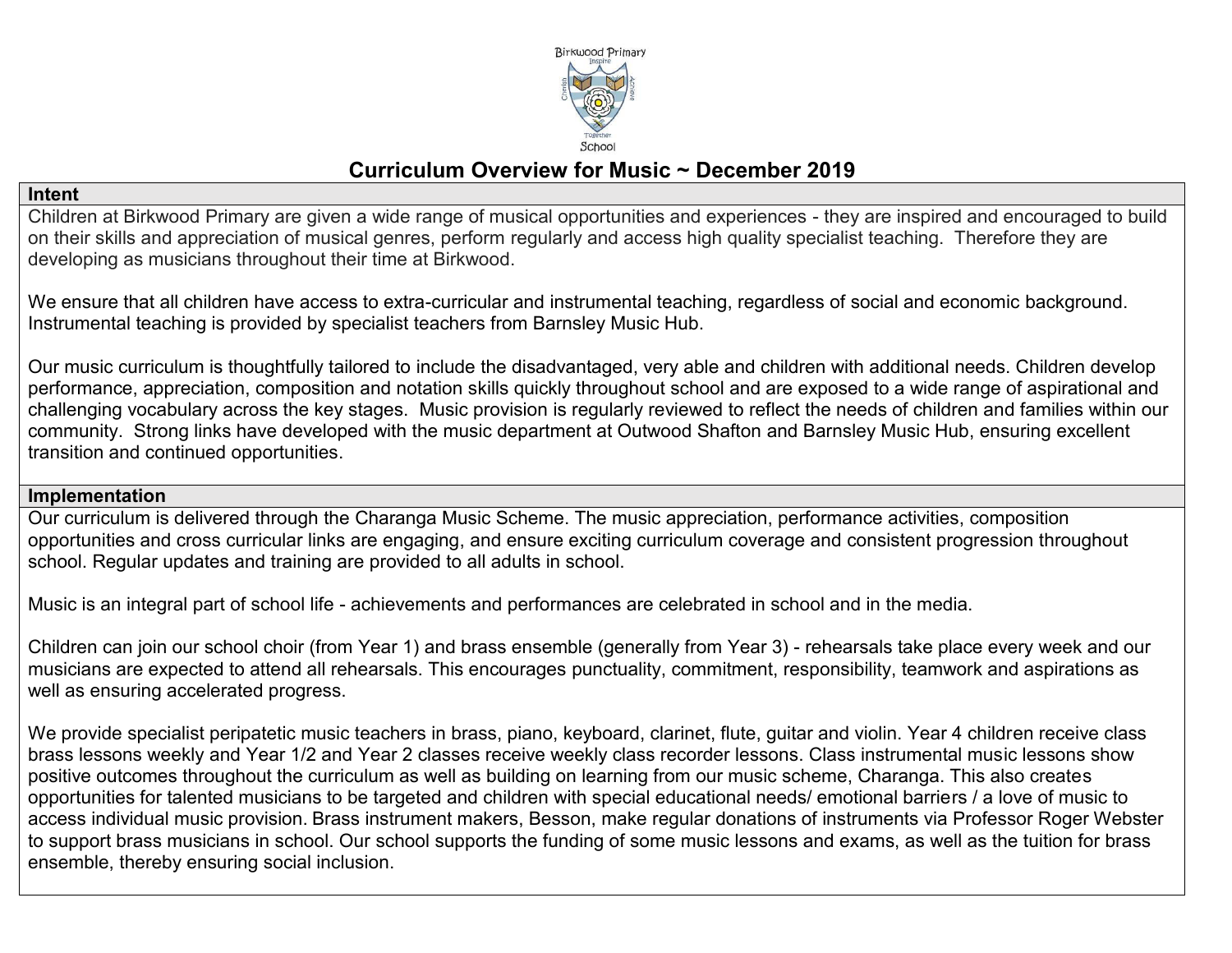

# **Curriculum Overview for Music ~ December 2019**

#### **Intent**

Children at Birkwood Primary are given a wide range of musical opportunities and experiences - they are inspired and encouraged to build on their skills and appreciation of musical genres, perform regularly and access high quality specialist teaching. Therefore they are developing as musicians throughout their time at Birkwood.

We ensure that all children have access to extra-curricular and instrumental teaching, regardless of social and economic background. Instrumental teaching is provided by specialist teachers from Barnsley Music Hub.

Our music curriculum is thoughtfully tailored to include the disadvantaged, very able and children with additional needs. Children develop performance, appreciation, composition and notation skills quickly throughout school and are exposed to a wide range of aspirational and challenging vocabulary across the key stages. Music provision is regularly reviewed to reflect the needs of children and families within our community. Strong links have developed with the music department at Outwood Shafton and Barnsley Music Hub, ensuring excellent transition and continued opportunities.

#### **Implementation**

Our curriculum is delivered through the Charanga Music Scheme. The music appreciation, performance activities, composition opportunities and cross curricular links are engaging, and ensure exciting curriculum coverage and consistent progression throughout school. Regular updates and training are provided to all adults in school.

Music is an integral part of school life - achievements and performances are celebrated in school and in the media.

Children can join our school choir (from Year 1) and brass ensemble (generally from Year 3) - rehearsals take place every week and our musicians are expected to attend all rehearsals. This encourages punctuality, commitment, responsibility, teamwork and aspirations as well as ensuring accelerated progress.

We provide specialist peripatetic music teachers in brass, piano, keyboard, clarinet, flute, guitar and violin. Year 4 children receive class brass lessons weekly and Year 1/2 and Year 2 classes receive weekly class recorder lessons. Class instrumental music lessons show positive outcomes throughout the curriculum as well as building on learning from our music scheme, Charanga. This also creates opportunities for talented musicians to be targeted and children with special educational needs/ emotional barriers / a love of music to access individual music provision. Brass instrument makers, Besson, make regular donations of instruments via Professor Roger Webster to support brass musicians in school. Our school supports the funding of some music lessons and exams, as well as the tuition for brass ensemble, thereby ensuring social inclusion.